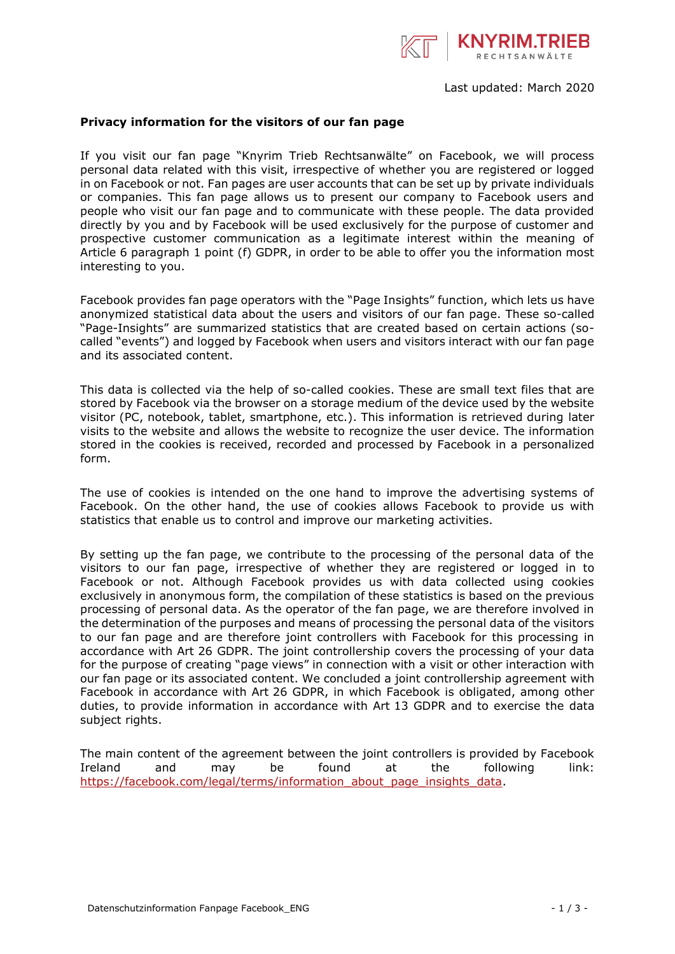

## **Privacy information for the visitors of our fan page**

If you visit our fan page "Knyrim Trieb Rechtsanwälte" on Facebook, we will process personal data related with this visit, irrespective of whether you are registered or logged in on Facebook or not. Fan pages are user accounts that can be set up by private individuals or companies. This fan page allows us to present our company to Facebook users and people who visit our fan page and to communicate with these people. The data provided directly by you and by Facebook will be used exclusively for the purpose of customer and prospective customer communication as a legitimate interest within the meaning of Article 6 paragraph 1 point (f) GDPR, in order to be able to offer you the information most interesting to you.

Facebook provides fan page operators with the "Page Insights" function, which lets us have anonymized statistical data about the users and visitors of our fan page. These so-called "Page-Insights" are summarized statistics that are created based on certain actions (socalled "events") and logged by Facebook when users and visitors interact with our fan page and its associated content.

This data is collected via the help of so-called cookies. These are small text files that are stored by Facebook via the browser on a storage medium of the device used by the website visitor (PC, notebook, tablet, smartphone, etc.). This information is retrieved during later visits to the website and allows the website to recognize the user device. The information stored in the cookies is received, recorded and processed by Facebook in a personalized form.

The use of cookies is intended on the one hand to improve the advertising systems of Facebook. On the other hand, the use of cookies allows Facebook to provide us with statistics that enable us to control and improve our marketing activities.

By setting up the fan page, we contribute to the processing of the personal data of the visitors to our fan page, irrespective of whether they are registered or logged in to Facebook or not. Although Facebook provides us with data collected using cookies exclusively in anonymous form, the compilation of these statistics is based on the previous processing of personal data. As the operator of the fan page, we are therefore involved in the determination of the purposes and means of processing the personal data of the visitors to our fan page and are therefore joint controllers with Facebook for this processing in accordance with Art 26 GDPR. The joint controllership covers the processing of your data for the purpose of creating "page views" in connection with a visit or other interaction with our fan page or its associated content. We concluded a joint controllership agreement with Facebook in accordance with Art 26 GDPR, in which Facebook is obligated, among other duties, to provide information in accordance with Art 13 GDPR and to exercise the data subject rights.

The main content of the agreement between the joint controllers is provided by Facebook Ireland and may be found at the following link: [https://facebook.com/legal/terms/information\\_about\\_page\\_insights\\_data.](https://facebook.com/legal/terms/information_about_page_insights_data)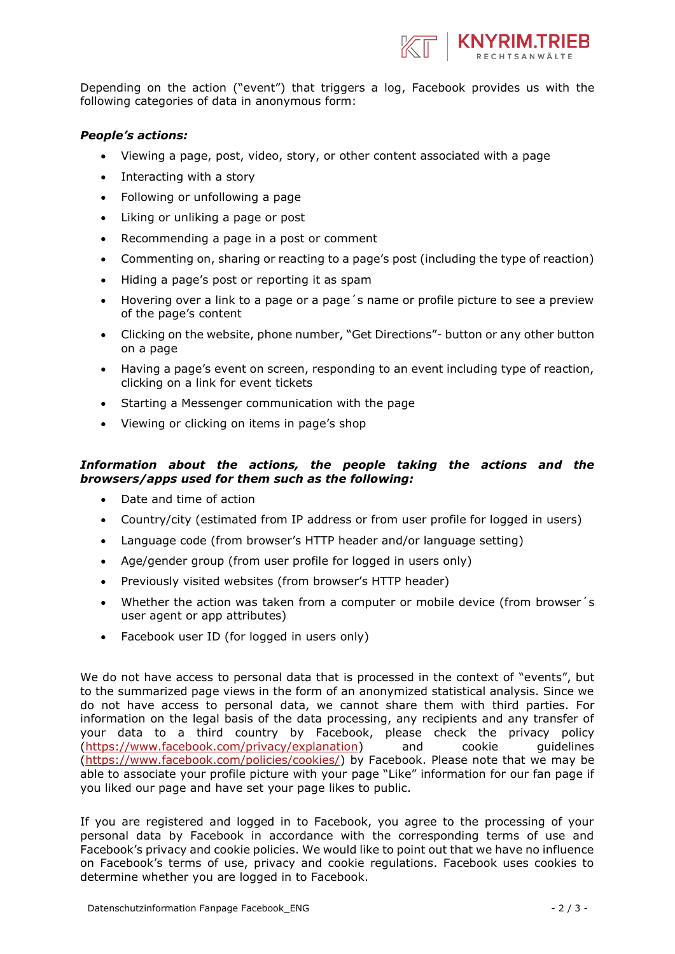

Depending on the action ("event") that triggers a log, Facebook provides us with the following categories of data in anonymous form:

## *People's actions:*

- Viewing a page, post, video, story, or other content associated with a page
- Interacting with a story
- Following or unfollowing a page
- Liking or unliking a page or post
- Recommending a page in a post or comment
- Commenting on, sharing or reacting to a page's post (including the type of reaction)
- Hiding a page's post or reporting it as spam
- Hovering over a link to a page or a page´s name or profile picture to see a preview of the page's content
- Clicking on the website, phone number, "Get Directions"- button or any other button on a page
- Having a page's event on screen, responding to an event including type of reaction, clicking on a link for event tickets
- Starting a Messenger communication with the page
- Viewing or clicking on items in page's shop

## *Information about the actions, the people taking the actions and the browsers/apps used for them such as the following:*

- Date and time of action
- Country/city (estimated from IP address or from user profile for logged in users)
- Language code (from browser's HTTP header and/or language setting)
- Age/gender group (from user profile for logged in users only)
- Previously visited websites (from browser's HTTP header)
- Whether the action was taken from a computer or mobile device (from browser´s user agent or app attributes)
- Facebook user ID (for logged in users only)

We do not have access to personal data that is processed in the context of "events", but to the summarized page views in the form of an anonymized statistical analysis. Since we do not have access to personal data, we cannot share them with third parties. For information on the legal basis of the data processing, any recipients and any transfer of your data to a third country by Facebook, please check the privacy policy [\(https://www.facebook.com/privacy/explanation\)](https://www.facebook.com/privacy/explanation) and cookie guidelines [\(https://www.facebook.com/policies/cookies/\)](https://www.facebook.com/policies/cookies/) by Facebook. Please note that we may be able to associate your profile picture with your page "Like" information for our fan page if you liked our page and have set your page likes to public.

If you are registered and logged in to Facebook, you agree to the processing of your personal data by Facebook in accordance with the corresponding terms of use and Facebook's privacy and cookie policies. We would like to point out that we have no influence on Facebook's terms of use, privacy and cookie regulations. Facebook uses cookies to determine whether you are logged in to Facebook.